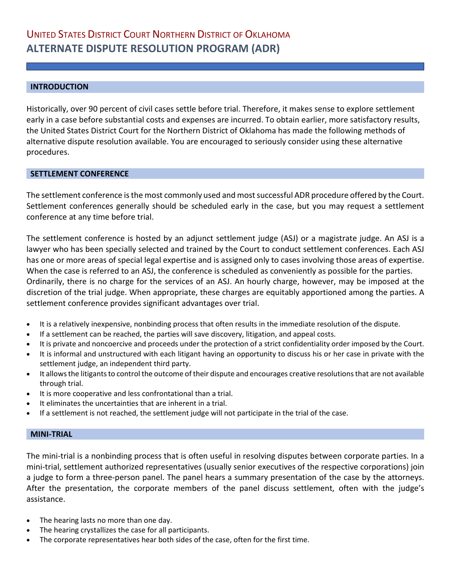# **INTRODUCTION**

Historically, over 90 percent of civil cases settle before trial. Therefore, it makes sense to explore settlement early in a case before substantial costs and expenses are incurred. To obtain earlier, more satisfactory results, the United States District Court for the Northern District of Oklahoma has made the following methods of alternative dispute resolution available. You are encouraged to seriously consider using these alternative procedures.

# **SETTLEMENT CONFERENCE**

The settlement conference is the most commonly used and most successful ADR procedure offered by the Court. Settlement conferences generally should be scheduled early in the case, but you may request a settlement conference at any time before trial.

The settlement conference is hosted by an adjunct settlement judge (ASJ) or a magistrate judge. An ASJ is a lawyer who has been specially selected and trained by the Court to conduct settlement conferences. Each ASJ has one or more areas of special legal expertise and is assigned only to cases involving those areas of expertise. When the case is referred to an ASJ, the conference is scheduled as conveniently as possible for the parties. Ordinarily, there is no charge for the services of an ASJ. An hourly charge, however, may be imposed at the discretion of the trial judge. When appropriate, these charges are equitably apportioned among the parties. A settlement conference provides significant advantages over trial.

- It is a relatively inexpensive, nonbinding process that often results in the immediate resolution of the dispute.
- If a settlement can be reached, the parties will save discovery, litigation, and appeal costs.
- It is private and noncoercive and proceeds under the protection of a strict confidentiality order imposed by the Court.
- It is informal and unstructured with each litigant having an opportunity to discuss his or her case in private with the settlement judge, an independent third party.
- It allows the litigants to control the outcome of their dispute and encourages creative resolutions that are not available through trial.
- It is more cooperative and less confrontational than a trial.
- It eliminates the uncertainties that are inherent in a trial.
- If a settlement is not reached, the settlement judge will not participate in the trial of the case.

### **MINI-TRIAL**

The mini-trial is a nonbinding process that is often useful in resolving disputes between corporate parties. In a mini-trial, settlement authorized representatives (usually senior executives of the respective corporations) join a judge to form a three-person panel. The panel hears a summary presentation of the case by the attorneys. After the presentation, the corporate members of the panel discuss settlement, often with the judge's assistance.

- The hearing lasts no more than one day.
- The hearing crystallizes the case for all participants.
- The corporate representatives hear both sides of the case, often for the first time.